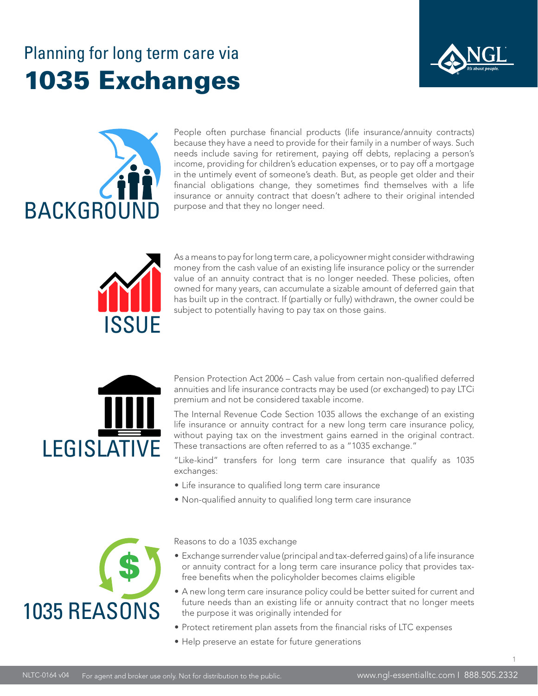### Planning for long term care via 1035 Exchanges





People often purchase financial products (life insurance/annuity contracts) because they have a need to provide for their family in a number of ways. Such needs include saving for retirement, paying off debts, replacing a person's income, providing for children's education expenses, or to pay off a mortgage in the untimely event of someone's death. But, as people get older and their financial obligations change, they sometimes find themselves with a life insurance or annuity contract that doesn't adhere to their original intended purpose and that they no longer need.



As a means to pay for long term care, a policyowner might consider withdrawing money from the cash value of an existing life insurance policy or the surrender value of an annuity contract that is no longer needed. These policies, often owned for many years, can accumulate a sizable amount of deferred gain that has built up in the contract. If (partially or fully) withdrawn, the owner could be subject to potentially having to pay tax on those gains.



Pension Protection Act 2006 – Cash value from certain non-qualified deferred annuities and life insurance contracts may be used (or exchanged) to pay LTCi premium and not be considered taxable income.

The Internal Revenue Code Section 1035 allows the exchange of an existing life insurance or annuity contract for a new long term care insurance policy, without paying tax on the investment gains earned in the original contract. These transactions are often referred to as a "1035 exchange."

"Like-kind" transfers for long term care insurance that qualify as 1035 exchanges:

- Life insurance to qualified long term care insurance
- Non-qualified annuity to qualified long term care insurance



Reasons to do a 1035 exchange

- Exchange surrender value (principal and tax-deferred gains) of a life insurance or annuity contract for a long term care insurance policy that provides taxfree benefits when the policyholder becomes claims eligible
- A new long term care insurance policy could be better suited for current and future needs than an existing life or annuity contract that no longer meets the purpose it was originally intended for
- Protect retirement plan assets from the financial risks of LTC expenses
- Help preserve an estate for future generations

1